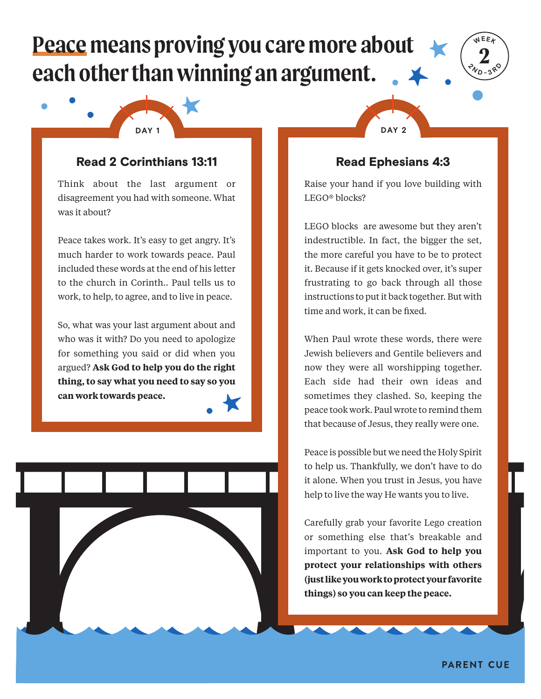## **Peace means proving you care more about each other than winning an argument.**



## Read 2 Corinthians 13:11

Think about the last argument or disagreement you had with someone. What was it about?

Peace takes work. It's easy to get angry. It's much harder to work towards peace. Paul included these words at the end of his letter to the church in Corinth.. Paul tells us to work, to help, to agree, and to live in peace.

So, what was your last argument about and who was it with? Do you need to apologize for something you said or did when you argued? **Ask God to help you do the right thing, to say what you need to say so you can work towards peace.**





**2 WEEK**

 $\sqrt[2]{v_D}$ **<sup>3</sup> <sup>R</sup> <sup>D</sup>**

Raise your hand if you love building with LEGO® blocks?

LEGO blocks are awesome but they aren't indestructible. In fact, the bigger the set, the more careful you have to be to protect it. Because if it gets knocked over, it's super frustrating to go back through all those instructions to put it back together. But with time and work, it can be fixed.

When Paul wrote these words, there were Jewish believers and Gentile believers and now they were all worshipping together. Each side had their own ideas and sometimes they clashed. So, keeping the peace took work. Paul wrote to remind them that because of Jesus, they really were one.

Peace is possible but we need the Holy Spirit to help us. Thankfully, we don't have to do it alone. When you trust in Jesus, you have help to live the way He wants you to live.

Carefully grab your favorite Lego creation or something else that's breakable and important to you. **Ask God to help you protect your relationships with others (just like you work to protect your favorite things) so you can keep the peace.**